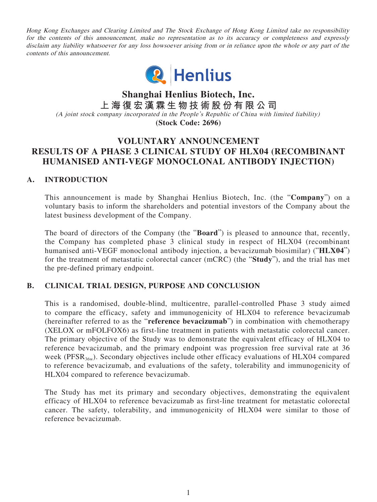Hong Kong Exchanges and Clearing Limited and The Stock Exchange of Hong Kong Limited take no responsibility for the contents of this announcement, make no representation as to its accuracy or completeness and expressly disclaim any liability whatsoever for any loss howsoever arising from or in reliance upon the whole or any part of the contents of this announcement.



**Shanghai Henlius Biotech, Inc. 上海復宏漢霖生物技術股份有限公司** (A joint stock company incorporated in the People's Republic of China with limited liability) **(Stock Code: 2696)**

# **VOLUNTARY ANNOUNCEMENT RESULTS OF A PHASE 3 CLINICAL STUDY OF HLX04 (RECOMBINANT HUMANISED ANTI-VEGF MONOCLONAL ANTIBODY INJECTION)**

## **A. INTRODUCTION**

This announcement is made by Shanghai Henlius Biotech, Inc. (the "**Company**") on a voluntary basis to inform the shareholders and potential investors of the Company about the latest business development of the Company.

The board of directors of the Company (the "**Board**") is pleased to announce that, recently, the Company has completed phase 3 clinical study in respect of HLX04 (recombinant humanised anti-VEGF monoclonal antibody injection, a bevacizumab biosimilar) ("**HLX04**") for the treatment of metastatic colorectal cancer (mCRC) (the "**Study**"), and the trial has met the pre-defined primary endpoint.

#### **B. CLINICAL TRIAL DESIGN, PURPOSE AND CONCLUSION**

This is a randomised, double-blind, multicentre, parallel-controlled Phase 3 study aimed to compare the efficacy, safety and immunogenicity of HLX04 to reference bevacizumab (hereinafter referred to as the "**reference bevacizumab**") in combination with chemotherapy (XELOX or mFOLFOX6) as first-line treatment in patients with metastatic colorectal cancer. The primary objective of the Study was to demonstrate the equivalent efficacy of HLX04 to reference bevacizumab, and the primary endpoint was progression free survival rate at 36 week (PFSR<sub>36w</sub>). Secondary objectives include other efficacy evaluations of HLX04 compared to reference bevacizumab, and evaluations of the safety, tolerability and immunogenicity of HLX04 compared to reference bevacizumab.

The Study has met its primary and secondary objectives, demonstrating the equivalent efficacy of HLX04 to reference bevacizumab as first-line treatment for metastatic colorectal cancer. The safety, tolerability, and immunogenicity of HLX04 were similar to those of reference bevacizumab.